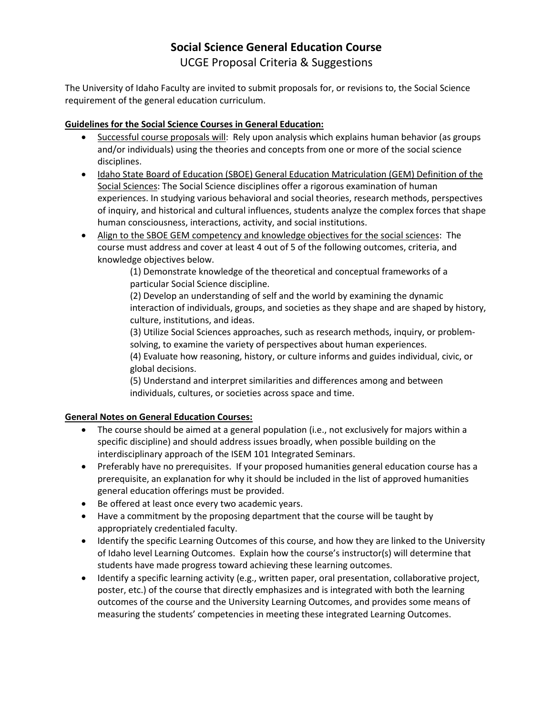# **Social Science General Education Course** UCGE Proposal Criteria & Suggestions

The University of Idaho Faculty are invited to submit proposals for, or revisions to, the Social Science requirement of the general education curriculum.

## **Guidelines for the Social Science Courses in General Education:**

- Successful course proposals will: Rely upon analysis which explains human behavior (as groups and/or individuals) using the theories and concepts from one or more of the social science disciplines.
- Idaho State Board of Education (SBOE) General Education Matriculation (GEM) Definition of the Social Sciences: The Social Science disciplines offer a rigorous examination of human experiences. In studying various behavioral and social theories, research methods, perspectives of inquiry, and historical and cultural influences, students analyze the complex forces that shape human consciousness, interactions, activity, and social institutions.
- Align to the SBOE GEM competency and knowledge objectives for the social sciences: The course must address and cover at least 4 out of 5 of the following outcomes, criteria, and knowledge objectives below.

(1) Demonstrate knowledge of the theoretical and conceptual frameworks of a particular Social Science discipline.

(2) Develop an understanding of self and the world by examining the dynamic interaction of individuals, groups, and societies as they shape and are shaped by history, culture, institutions, and ideas.

(3) Utilize Social Sciences approaches, such as research methods, inquiry, or problemsolving, to examine the variety of perspectives about human experiences.

(4) Evaluate how reasoning, history, or culture informs and guides individual, civic, or global decisions.

(5) Understand and interpret similarities and differences among and between individuals, cultures, or societies across space and time.

### **General Notes on General Education Courses:**

- The course should be aimed at a general population (i.e., not exclusively for majors within a specific discipline) and should address issues broadly, when possible building on the interdisciplinary approach of the ISEM 101 Integrated Seminars.
- Preferably have no prerequisites. If your proposed humanities general education course has a prerequisite, an explanation for why it should be included in the list of approved humanities general education offerings must be provided.
- Be offered at least once every two academic years.
- Have a commitment by the proposing department that the course will be taught by appropriately credentialed faculty.
- Identify the specific Learning Outcomes of this course, and how they are linked to the University of Idaho level Learning Outcomes. Explain how the course's instructor(s) will determine that students have made progress toward achieving these learning outcomes.
- Identify a specific learning activity (e.g., written paper, oral presentation, collaborative project, poster, etc.) of the course that directly emphasizes and is integrated with both the learning outcomes of the course and the University Learning Outcomes, and provides some means of measuring the students' competencies in meeting these integrated Learning Outcomes.